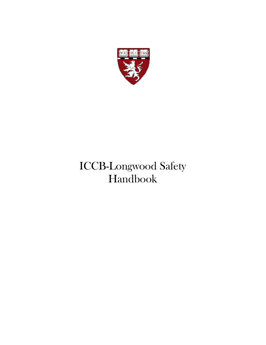

# ICCB-Longwood Safety Handbook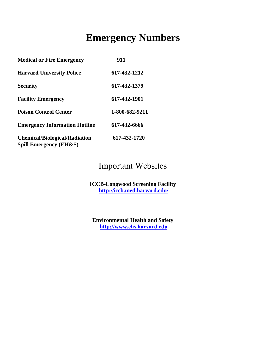### **Emergency Numbers**

| <b>Medical or Fire Emergency</b>                                          | 911            |
|---------------------------------------------------------------------------|----------------|
| <b>Harvard University Police</b>                                          | 617-432-1212   |
| <b>Security</b>                                                           | 617-432-1379   |
| <b>Facility Emergency</b>                                                 | 617-432-1901   |
| <b>Poison Control Center</b>                                              | 1-800-682-9211 |
| <b>Emergency Information Hotline</b>                                      | 617-432-6666   |
| <b>Chemical/Biological/Radiation</b><br><b>Spill Emergency (EH&amp;S)</b> | 617-432-1720   |

### Important Websites

**ICCB-Longwood Screening Facility http://iccb.med.harvard.edu/**

**Environmental Health and Safety http://www.ehs.harvard.edu**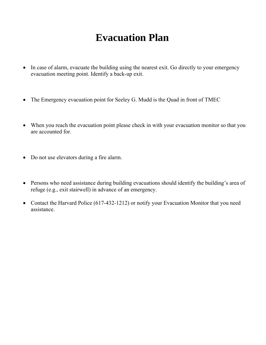## **Evacuation Plan**

- In case of alarm, evacuate the building using the nearest exit. Go directly to your emergency evacuation meeting point. Identify a back-up exit.
- The Emergency evacuation point for Seeley G. Mudd is the Quad in front of TMEC
- When you reach the evacuation point please check in with your evacuation monitor so that you are accounted for.
- Do not use elevators during a fire alarm.
- Persons who need assistance during building evacuations should identify the building's area of refuge (e.g., exit stairwell) in advance of an emergency.
- Contact the Harvard Police (617-432-1212) or notify your Evacuation Monitor that you need assistance.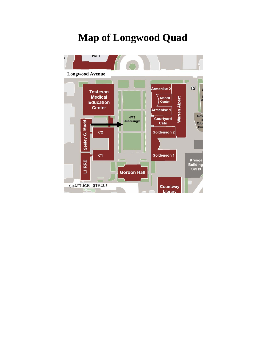### **Map of Longwood Quad**

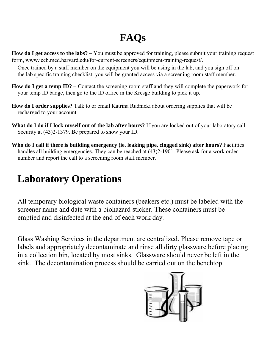# **FAQs**

**How do I get access to the labs? –** You must be approved for training, please submit your training request form, www.iccb.med.harvard.edu/for-current-screeners/equipment-training-request/.

Once trained by a staff member on the equipment you will be using in the lab, and you sign off on the lab specific training checklist, you will be granted access via a screening room staff member.

- **How do I get a temp ID?**  Contact the screening room staff and they will complete the paperwork for your temp ID badge, then go to the ID office in the Kresge building to pick it up.
- **How do I order supplies?** Talk to or email Katrina Rudnicki about ordering supplies that will be recharged to your account.
- **What do I do if I lock myself out of the lab after hours?** If you are locked out of your laboratory call Security at (43)2-1379. Be prepared to show your ID.
- **Who do I call if there is building emergency (ie. leaking pipe, clogged sink) after hours?** Facilities handles all building emergencies. They can be reached at (43)2-1901. Please ask for a work order number and report the call to a screening room staff member.

## **Laboratory Operations**

All temporary biological waste containers (beakers etc.) must be labeled with the screener name and date with a biohazard sticker. These containers must be emptied and disinfected at the end of each work day.

Glass Washing Services in the department are centralized. Please remove tape or labels and appropriately decontaminate and rinse all dirty glassware before placing in a collection bin, located by most sinks. Glassware should never be left in the sink. The decontamination process should be carried out on the benchtop.

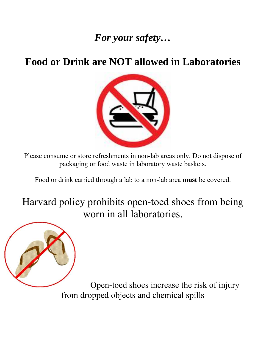## *For your safety…*

## **Food or Drink are NOT allowed in Laboratories**



Please consume or store refreshments in non-lab areas only. Do not dispose of packaging or food waste in laboratory waste baskets.

Food or drink carried through a lab to a non-lab area **must** be covered.

Harvard policy prohibits open-toed shoes from being worn in all laboratories.



Open-toed shoes increase the risk of injury from dropped objects and chemical spills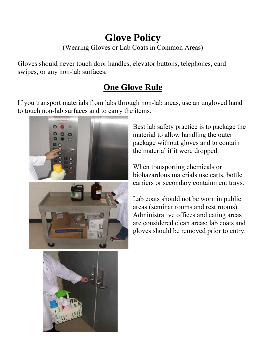### **Glove Policy**  (Wearing Gloves or Lab Coats in Common Areas)

Gloves should never touch door handles, elevator buttons, telephones, card swipes, or any non-lab surfaces.

### **One Glove Rule**

If you transport materials from labs through non-lab areas, use an ungloved hand to touch non-lab surfaces and to carry the items.



Best lab safety practice is to package the material to allow handling the outer package without gloves and to contain the material if it were dropped.

When transporting chemicals or biohazardous materials use carts, bottle carriers or secondary containment trays.

Lab coats should not be worn in public areas (seminar rooms and rest rooms). Administrative offices and eating areas are considered clean areas; lab coats and gloves should be removed prior to entry.

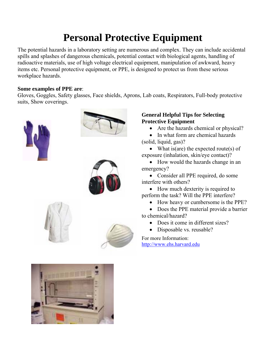## **Personal Protective Equipment**

The potential hazards in a laboratory setting are numerous and complex. They can include accidental spills and splashes of dangerous chemicals, potential contact with biological agents, handling of radioactive materials, use of high voltage electrical equipment, manipulation of awkward, heavy items etc. Personal protective equipment, or PPE, is designed to protect us from these serious workplace hazards.

#### **Some examples of PPE are**:

Gloves, Goggles, Safety glasses, Face shields, Aprons, Lab coats, Respirators, Full-body protective suits, Show coverings.











#### **General Helpful Tips for Selecting Protective Equipment**

- Are the hazards chemical or physical?
- In what form are chemical hazards (solid, liquid, gas)?

• What is (are) the expected route (s) of exposure (inhalation, skin/eye contact)?

• How would the hazards change in an emergency?

• Consider all PPE required, do some interfere with others?

• How much dexterity is required to perform the task? Will the PPE interfere?

• How heavy or cumbersome is the PPE?

• Does the PPE material provide a barrier to chemical/hazard?

- Does it come in different sizes?
- Disposable vs. reusable?

For more Information: http://www.ehs.harvard.edu

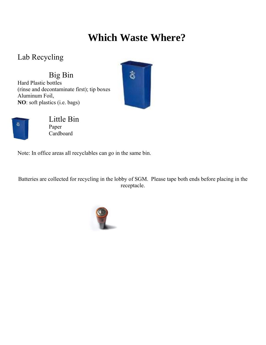## **Which Waste Where?**

Lab Recycling

**NO**: soft plastics (i.e. bags)

Big Bin Hard Plastic bottles (rinse and decontaminate first); tip boxes, Aluminum Foil,





Little Bin Paper **Cardboard** 

Note: In office areas all recyclables can go in the same bin.

Batteries are collected for recycling in the lobby of SGM. Please tape both ends before placing in the receptacle.

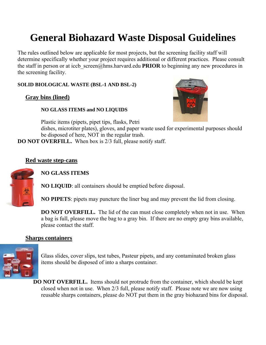## **General Biohazard Waste Disposal Guidelines**

The rules outlined below are applicable for most projects, but the screening facility staff will determine specifically whether your project requires additional or different practices. Please consult the staff in person or at iccb screen@hms.harvard.edu **PRIOR** to beginning any new procedures in the screening facility.

**SOLID BIOLOGICAL WASTE (BSL-1 AND BSL-2)**

**Gray bins (lined)**

#### **NO GLASS ITEMS and NO LIQUIDS**

Plastic items (pipets, pipet tips, flasks, Petri



dishes, microtiter plates), gloves, and paper waste used for experimental purposes should be disposed of here, NOT in the regular trash.

**DO NOT OVERFILL.** When box is 2/3 full, please notify staff.

#### **Red waste step-cans**



**NO GLASS ITEMS**

**NO LIQUID**: all containers should be emptied before disposal.

**NO PIPETS**: pipets may puncture the liner bag and may prevent the lid from closing.

**DO NOT OVERFILL.** The lid of the can must close completely when not in use. When a bag is full, please move the bag to a gray bin. If there are no empty gray bins available, please contact the staff.

#### **Sharps containers**



Glass slides, cover slips, test tubes, Pasteur pipets, and any contaminated broken glass items should be disposed of into a sharps container.

**DO NOT OVERFILL.** Items should not protrude from the container, which should be kept closed when not in use. When 2/3 full, please notify staff. Please note we are now using reusable sharps containers, please do NOT put them in the gray biohazard bins for disposal.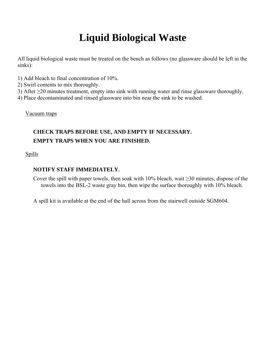## **Liquid Biological Waste**

All liquid biological waste must be treated on the bench as follows (no glassware should be left in the sinks):

- 1) Add bleach to final concentration of 10%.
- 2) Swirl contents to mix thoroughly.
- 3) After ≥20 minutes treatment, empty into sink with running water and rinse glassware thoroughly.
- 4) Place decontaminated and rinsed glassware into bin near the sink to be washed.

Vacuum traps

### **CHECK TRAPS BEFORE USE, AND EMPTY IF NECESSARY. EMPTY TRAPS WHEN YOU ARE FINISHED.**

Spills

#### **NOTIFY STAFF IMMEDIATELY.**

- Cover the spill with paper towels, then soak with 10% bleach, wait  $\geq$ 30 minutes, dispose of the towels into the BSL-2 waste gray bin, then wipe the surface thoroughly with 10% bleach.
- A spill kit is available at the end of the hall across from the stairwell outside SGM604.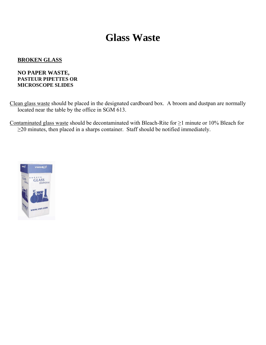### **Glass Waste**

#### **BROKEN GLASS**

#### **NO PAPER WASTE, PASTEUR PIPETTES OR MICROSCOPE SLIDES**

Clean glass waste should be placed in the designated cardboard box. A broom and dustpan are normally located near the table by the office in SGM 613.

Contaminated glass waste should be decontaminated with Bleach-Rite for ≥1 minute or 10% Bleach for ≥20 minutes, then placed in a sharps container. Staff should be notified immediately.

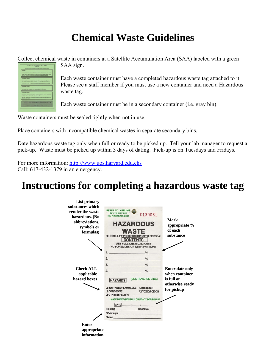## **Chemical Waste Guidelines**

Collect chemical waste in containers at a Satellite Accumulation Area (SAA) labeled with a green

| <b>TRAINING</b> |                                                                                                                                                                                                                    |
|-----------------|--------------------------------------------------------------------------------------------------------------------------------------------------------------------------------------------------------------------|
|                 | Environmental regulations require instateg of paraly role-precede or handle baseches want. Distribut<br>must info place within air months of date-of-fore, and annually channaker.                                 |
|                 | Training is affored on a certaint rebuilde by the Harvard Environmental Health and Salery (EBAA).                                                                                                                  |
|                 | Dreament, For whether this brouthers are betterful effectives to deliver to date the                                                                                                                               |
|                 | <b>CONTAINER LABELING</b>                                                                                                                                                                                          |
|                 | All hazardous years containers must be labeled at the structured in the research for a launcher structure.                                                                                                         |
|                 | Christmale Carlette many methods the Arthurings industry terms from the enterprise to at Arthuris actual.<br>2) the experient keypers of the worte (e.g. "surveyies"). It the date that the container becomes full |
|                 | For heleds call 496-3322 or visit began increased and administration of the head on any density                                                                                                                    |
|                 |                                                                                                                                                                                                                    |
|                 | <b>CONTAINER CLOSERD</b>                                                                                                                                                                                           |
|                 | Benefits was capital and bridged and trackets dent away away who was traded                                                                                                                                        |
|                 | Corp. combiners should. Tourshations do not correlate once formula in many containers.                                                                                                                             |
|                 | <b>CONTAINER/STORAGE:</b>                                                                                                                                                                                          |
|                 | Deposition were most be stated in a similarized "Sandbar Accumulation Area", in a fash hood, machinized                                                                                                            |
|                 | room. These areas must be immersed worlds the contribute beginner. Considered must be compated from the<br>Sending Arts within their deep after the complete foremen filled                                        |
|                 | High volume concreters here an established continued from rehability of athers must contact EBAS.<br>and request works conserval.                                                                                  |
|                 |                                                                                                                                                                                                                    |
|                 | CONTACT ERGS TOR BAZARDOUS WANTE PICKER/STRAYERS                                                                                                                                                                   |
|                 | <b>LONGWOOD CAMPUS 143-1790</b><br><b>CAMBRIDGE CAMPES: 466 1373</b>                                                                                                                                               |
|                 | https://www.aca.harvard.cdurgs.his/shorts-hoc-be- scretcoud-                                                                                                                                                       |

SAA sign.

Each waste container must have a completed hazardous waste tag attached to it. Please see a staff member if you must use a new container and need a Hazardous waste tag.

Each waste container must be in a secondary container (i.e. gray bin).

Waste containers must be sealed tightly when not in use.

Place containers with incompatible chemical wastes in separate secondary bins.

Date hazardous waste tag only when full or ready to be picked up. Tell your lab manager to request a pick-up. Waste must be picked up within 3 days of dating. Pick-up is on Tuesdays and Fridays.

For more information: http://www.uos.harvard.edu.ehs Call: 617-432-1379 in an emergency.

## **Instructions for completing a hazardous waste tag**

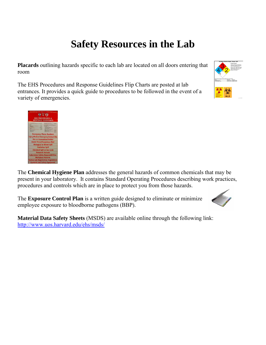## **Safety Resources in the Lab**

**Placards** outlining hazards specific to each lab are located on all doors entering that room

The EHS Procedures and Response Guidelines Flip Charts are posted at lab entrances. It provides a quick guide to procedures to be followed in the event of a variety of emergencies.



| Harvard Longwood Campus Is a Smoke-Free Campus<br><b>EHS PROCEDURES &amp;</b><br><b>RESPONSE GUIDELINES</b>                                                                                                                                                                                                                                               |  |
|-----------------------------------------------------------------------------------------------------------------------------------------------------------------------------------------------------------------------------------------------------------------------------------------------------------------------------------------------------------|--|
| <b>Exhibit all dog days</b><br>-<br><b>School State Viewer</b><br><b>CONTRACTOR</b><br>----<br>---<br>_____<br>-<br>__<br><b>COLOR</b><br>--<br>__<br><b>Contract Contract</b><br>--<br><b><i><u>ALLEY EXPERIENCE</u></i></b><br><b>STATISTICS</b><br><b>British College Corp.</b><br>--<br><b>The Williams Are</b><br><b><i><u>START COMPANY</u></i></b> |  |
| <b>Emergency Phone Numbers</b><br><b>Injury/Medical Emergency/Animal Bite</b>                                                                                                                                                                                                                                                                             |  |
| <b>Fire or Evacuation/Shelter</b>                                                                                                                                                                                                                                                                                                                         |  |
| <b>Bomb Threat/Suspicious Mail</b>                                                                                                                                                                                                                                                                                                                        |  |
| <b>Biological or Blood Spill</b>                                                                                                                                                                                                                                                                                                                          |  |
| <b>Radiation Spill</b>                                                                                                                                                                                                                                                                                                                                    |  |
| <b>Chemical Spill or Gas Leak</b>                                                                                                                                                                                                                                                                                                                         |  |
| <b>Research Animals</b>                                                                                                                                                                                                                                                                                                                                   |  |
| <b>Laboratory Safety Responsibilities</b>                                                                                                                                                                                                                                                                                                                 |  |
| <b>Workplace Hazards</b>                                                                                                                                                                                                                                                                                                                                  |  |
| <b>oston Lab Registration Regulations</b>                                                                                                                                                                                                                                                                                                                 |  |
| <b>Contacts and Safety Equipment</b>                                                                                                                                                                                                                                                                                                                      |  |

The **Chemical Hygiene Plan** addresses the general hazards of common chemicals that may be present in your laboratory. It contains Standard Operating Procedures describing work practices, procedures and controls which are in place to protect you from those hazards.

The **Exposure Control Plan** is a written guide designed to eliminate or minimize employee exposure to bloodborne pathogens (BBP).



**Material Data Safety Sheets** (MSDS) are available online through the following link: http://www.uos.harvard.edu/ehs/msds/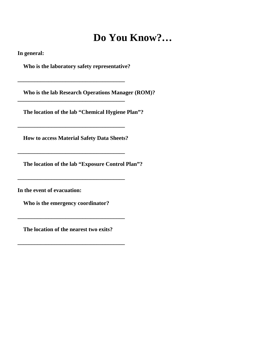### **Do You Know?…**

**In general:** 

 **Who is the laboratory safety representative?** 

**\_\_\_\_\_\_\_\_\_\_\_\_\_\_\_\_\_\_\_\_\_\_\_\_\_\_\_\_\_\_\_\_\_\_\_\_\_\_**

**\_\_\_\_\_\_\_\_\_\_\_\_\_\_\_\_\_\_\_\_\_\_\_\_\_\_\_\_\_\_\_\_\_\_\_\_\_\_**

**\_\_\_\_\_\_\_\_\_\_\_\_\_\_\_\_\_\_\_\_\_\_\_\_\_\_\_\_\_\_\_\_\_\_\_\_\_\_**

**\_\_\_\_\_\_\_\_\_\_\_\_\_\_\_\_\_\_\_\_\_\_\_\_\_\_\_\_\_\_\_\_\_\_\_\_\_\_**

**\_\_\_\_\_\_\_\_\_\_\_\_\_\_\_\_\_\_\_\_\_\_\_\_\_\_\_\_\_\_\_\_\_\_\_\_\_\_**

 **Who is the lab Research Operations Manager (ROM)?** 

**The location of the lab "Chemical Hygiene Plan"?** 

**How to access Material Safety Data Sheets?** 

 **The location of the lab "Exposure Control Plan"?** 

**In the event of evacuation:** 

**Who is the emergency coordinator?** 

**The location of the nearest two exits?** 

**\_\_\_\_\_\_\_\_\_\_\_\_\_\_\_\_\_\_\_\_\_\_\_\_\_\_\_\_\_\_\_\_\_\_\_\_\_\_** 

**\_\_\_\_\_\_\_\_\_\_\_\_\_\_\_\_\_\_\_\_\_\_\_\_\_\_\_\_\_\_\_\_\_\_\_\_\_\_**